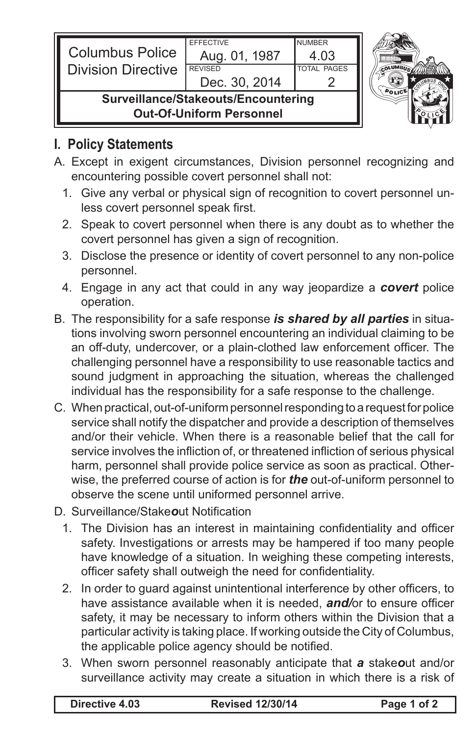| <b>Columbus Police</b><br><b>Division Directive</b>                    | <b>EFFECTIVE</b><br>Aug. 01, 1987<br><b>REVISED</b><br>Dec. 30, 2014 | <b>NUMBER</b><br>4.03<br><b>TOTAL PAGES</b> |  |
|------------------------------------------------------------------------|----------------------------------------------------------------------|---------------------------------------------|--|
| Surveillance/Stakeouts/Encountering<br><b>Out-Of-Uniform Personnel</b> |                                                                      |                                             |  |

## **I. Policy Statements**

- A. Except in exigent circumstances, Division personnel recognizing and encountering possible covert personnel shall not:
	- 1. Give any verbal or physical sign of recognition to covert personnel unless covert personnel speak first.
	- 2. Speak to covert personnel when there is any doubt as to whether the covert personnel has given a sign of recognition.
	- 3. Disclose the presence or identity of covert personnel to any non-police personnel.
	- 4. Engage in any act that could in any way jeopardize a *covert* police operation.
- B. The responsibility for a safe response *is shared by all parties* in situations involving sworn personnel encountering an individual claiming to be an off-duty, undercover, or a plain-clothed law enforcement officer. The challenging personnel have a responsibility to use reasonable tactics and sound judgment in approaching the situation, whereas the challenged individual has the responsibility for a safe response to the challenge.
- C. When practical, out-of-uniform personnel responding to a request for police service shall notify the dispatcher and provide a description of themselves and/or their vehicle. When there is a reasonable belief that the call for service involves the infliction of, or threatened infliction of serious physical harm, personnel shall provide police service as soon as practical. Otherwise, the preferred course of action is for *the* out-of-uniform personnel to observe the scene until uniformed personnel arrive.
- D. Surveillance/Stake*o*ut Notification
	- 1. The Division has an interest in maintaining confidentiality and officer safety. Investigations or arrests may be hampered if too many people have knowledge of a situation. In weighing these competing interests, officer safety shall outweigh the need for confidentiality.
	- 2. In order to guard against unintentional interference by other officers, to have assistance available when it is needed, *and/*or to ensure officer safety, it may be necessary to inform others within the Division that a particular activity is taking place. If working outside the City of Columbus, the applicable police agency should be notified.
	- 3. When sworn personnel reasonably anticipate that *a* stake*o*ut and/or surveillance activity may create a situation in which there is a risk of